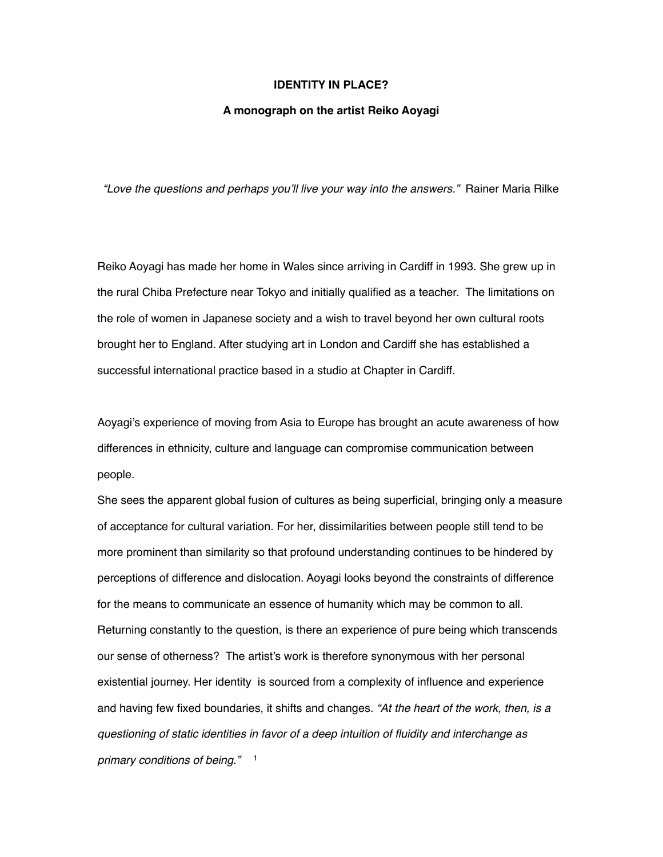## **IDENTITY IN PLACE?**

## **A monograph on the artist Reiko Aoyagi**

*"Love the questions and perhaps you'll live your way into the answers."* Rainer Maria Rilke

Reiko Aoyagi has made her home in Wales since arriving in Cardiff in 1993. She grew up in the rural Chiba Prefecture near Tokyo and initially qualified as a teacher. The limitations on the role of women in Japanese society and a wish to travel beyond her own cultural roots brought her to England. After studying art in London and Cardiff she has established a successful international practice based in a studio at Chapter in Cardiff.

Aoyagi's experience of moving from Asia to Europe has brought an acute awareness of how differences in ethnicity, culture and language can compromise communication between people.

<span id="page-0-0"></span>She sees the apparent global fusion of cultures as being superficial, bringing only a measure of acceptance for cultural variation. For her, dissimilarities between people still tend to be more prominent than similarity so that profound understanding continues to be hindered by perceptions of difference and dislocation. Aoyagi looks beyond the constraints of difference for the means to communicate an essence of humanity which may be common to all. Returning constantly to the question, is there an experience of pure being which transcends our sense of otherness? The artist's work is therefore synonymous with her personal existential journey. Her identity is sourced from a complexity of influence and experience and having few fixed boundaries, it shifts and changes. *"At the heart of the work, then, is a questioning of static identities in favor of a deep intuition of fluidity and interchange as primary conditions of being.*" <sup>[1](#page-9-0)</sup>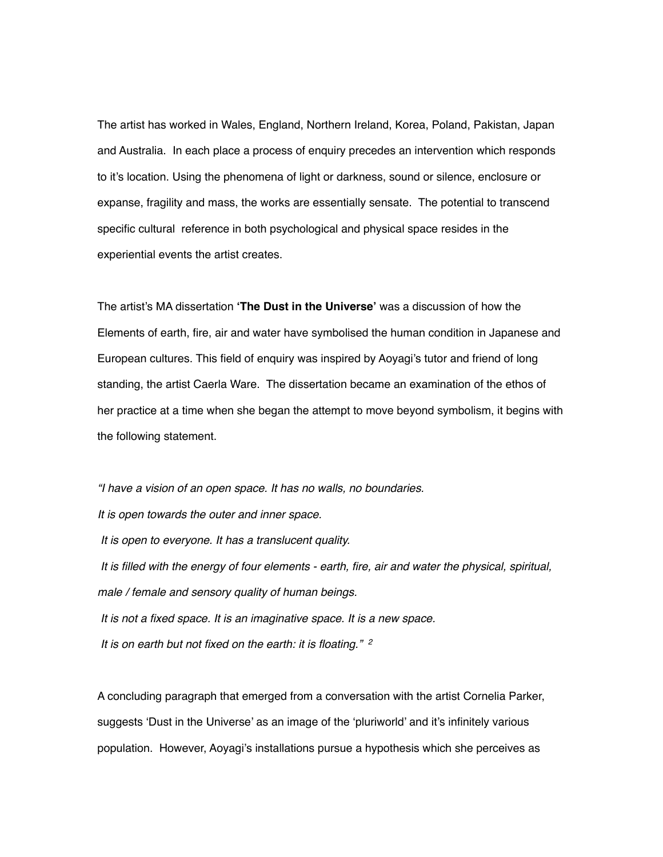The artist has worked in Wales, England, Northern Ireland, Korea, Poland, Pakistan, Japan and Australia. In each place a process of enquiry precedes an intervention which responds to it's location. Using the phenomena of light or darkness, sound or silence, enclosure or expanse, fragility and mass, the works are essentially sensate. The potential to transcend specific cultural reference in both psychological and physical space resides in the experiential events the artist creates.

The artist's MA dissertation **'The Dust in the Universe'** was a discussion of how the Elements of earth, fire, air and water have symbolised the human condition in Japanese and European cultures. This field of enquiry was inspired by Aoyagi's tutor and friend of long standing, the artist Caerla Ware. The dissertation became an examination of the ethos of her practice at a time when she began the attempt to move beyond symbolism, it begins with the following statement.

*"I have a vision of an open space. It has no walls, no boundaries. It is open towards the outer and inner space. It is open to everyone. It has a translucent quality. It is filled with the energy of four elements - earth, fire, air and water the physical, spiritual, male / female and sensory quality of human beings. It is not a fixed space. It is an imaginative space. It is a new space. It is on earth but not fixed on the earth: it is floating." [2](#page-9-1)*

<span id="page-1-0"></span>A concluding paragraph that emerged from a conversation with the artist Cornelia Parker, suggests 'Dust in the Universe' as an image of the 'pluriworld' and it's infinitely various population. However, Aoyagi's installations pursue a hypothesis which she perceives as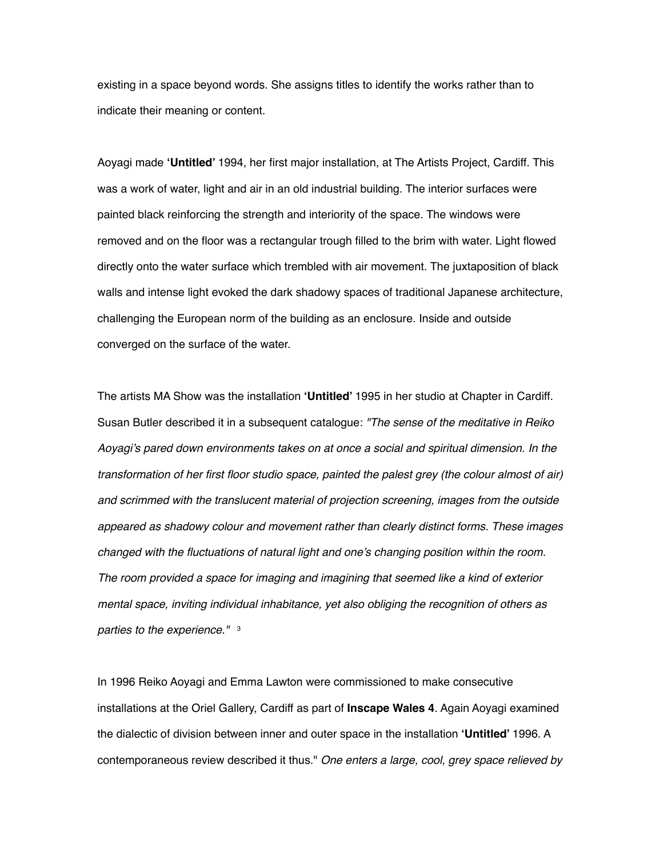existing in a space beyond words. She assigns titles to identify the works rather than to indicate their meaning or content.

Aoyagi made **'Untitled'** 1994, her first major installation, at The Artists Project, Cardiff. This was a work of water, light and air in an old industrial building. The interior surfaces were painted black reinforcing the strength and interiority of the space. The windows were removed and on the floor was a rectangular trough filled to the brim with water. Light flowed directly onto the water surface which trembled with air movement. The juxtaposition of black walls and intense light evoked the dark shadowy spaces of traditional Japanese architecture, challenging the European norm of the building as an enclosure. Inside and outside converged on the surface of the water.

The artists MA Show was the installation **'Untitled'** 1995 in her studio at Chapter in Cardiff. Susan Butler described it in a subsequent catalogue: *"The sense of the meditative in Reiko Aoyagi's pared down environments takes on at once a social and spiritual dimension. In the transformation of her first floor studio space, painted the palest grey (the colour almost of air) and scrimmed with the translucent material of projection screening, images from the outside appeared as shadowy colour and movement rather than clearly distinct forms. These images changed with the fluctuations of natural light and one's changing position within the room. The room provided a space for imaging and imagining that seemed like a kind of exterior mental space, inviting individual inhabitance, yet also obliging the recognition of others as parties to the experience."* [3](#page-9-2)

<span id="page-2-0"></span>In 1996 Reiko Aoyagi and Emma Lawton were commissioned to make consecutive installations at the Oriel Gallery, Cardiff as part of **Inscape Wales 4**. Again Aoyagi examined the dialectic of division between inner and outer space in the installation **'Untitled'** 1996. A contemporaneous review described it thus." *One enters a large, cool, grey space relieved by*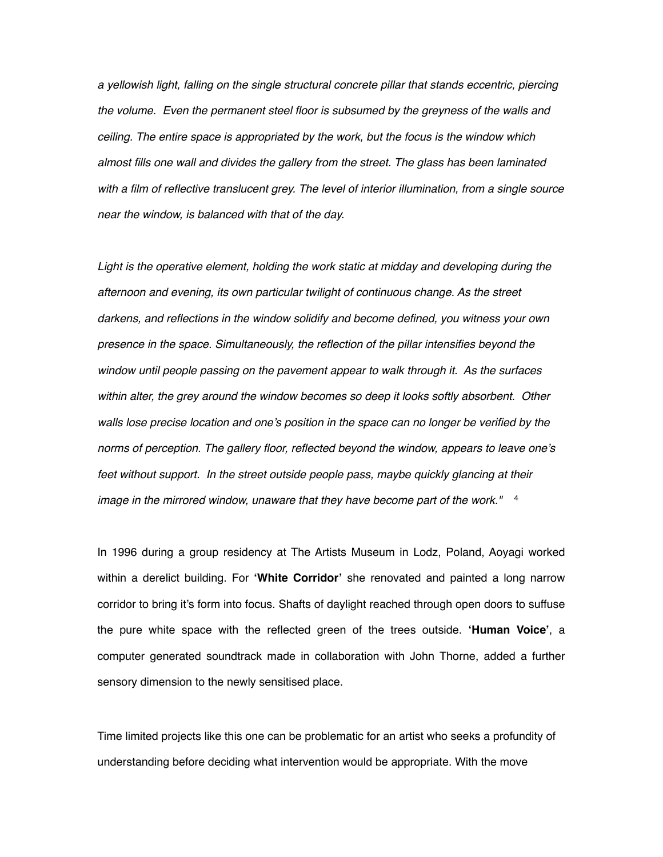*a yellowish light, falling on the single structural concrete pillar that stands eccentric, piercing the volume. Even the permanent steel floor is subsumed by the greyness of the walls and ceiling. The entire space is appropriated by the work, but the focus is the window which almost fills one wall and divides the gallery from the street. The glass has been laminated with a film of reflective translucent grey. The level of interior illumination, from a single source near the window, is balanced with that of the day.* 

Light is the operative element, holding the work static at midday and developing during the *afternoon and evening, its own particular twilight of continuous change. As the street darkens, and reflections in the window solidify and become defined, you witness your own presence in the space. Simultaneously, the reflection of the pillar intensifies beyond the window until people passing on the pavement appear to walk through it. As the surfaces within alter, the grey around the window becomes so deep it looks softly absorbent. Other walls lose precise location and one's position in the space can no longer be verified by the norms of perception. The gallery floor, reflected beyond the window, appears to leave one's feet without support. In the street outside people pass, maybe quickly glancing at their image in the mirrored window, unaware that they have become part of the work."* [4](#page-9-3)

<span id="page-3-0"></span>In 1996 during a group residency at The Artists Museum in Lodz, Poland, Aoyagi worked within a derelict building. For **'White Corridor'** she renovated and painted a long narrow corridor to bring it's form into focus. Shafts of daylight reached through open doors to suffuse the pure white space with the reflected green of the trees outside. **'Human Voice'**, a computer generated soundtrack made in collaboration with John Thorne, added a further sensory dimension to the newly sensitised place.

Time limited projects like this one can be problematic for an artist who seeks a profundity of understanding before deciding what intervention would be appropriate. With the move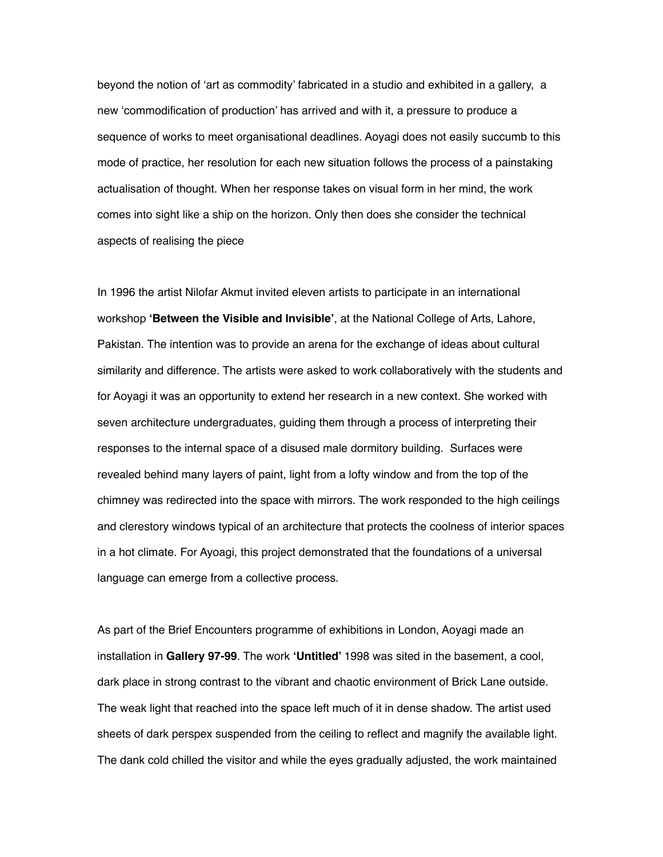beyond the notion of 'art as commodity' fabricated in a studio and exhibited in a gallery, a new 'commodification of production' has arrived and with it, a pressure to produce a sequence of works to meet organisational deadlines. Aoyagi does not easily succumb to this mode of practice, her resolution for each new situation follows the process of a painstaking actualisation of thought. When her response takes on visual form in her mind, the work comes into sight like a ship on the horizon. Only then does she consider the technical aspects of realising the piece

In 1996 the artist Nilofar Akmut invited eleven artists to participate in an international workshop **'Between the Visible and Invisible'**, at the National College of Arts, Lahore, Pakistan. The intention was to provide an arena for the exchange of ideas about cultural similarity and difference. The artists were asked to work collaboratively with the students and for Aoyagi it was an opportunity to extend her research in a new context. She worked with seven architecture undergraduates, guiding them through a process of interpreting their responses to the internal space of a disused male dormitory building. Surfaces were revealed behind many layers of paint, light from a lofty window and from the top of the chimney was redirected into the space with mirrors. The work responded to the high ceilings and clerestory windows typical of an architecture that protects the coolness of interior spaces in a hot climate. For Ayoagi, this project demonstrated that the foundations of a universal language can emerge from a collective process.

As part of the Brief Encounters programme of exhibitions in London, Aoyagi made an installation in **Gallery 97-99**. The work **'Untitled'** 1998 was sited in the basement, a cool, dark place in strong contrast to the vibrant and chaotic environment of Brick Lane outside. The weak light that reached into the space left much of it in dense shadow. The artist used sheets of dark perspex suspended from the ceiling to reflect and magnify the available light. The dank cold chilled the visitor and while the eyes gradually adjusted, the work maintained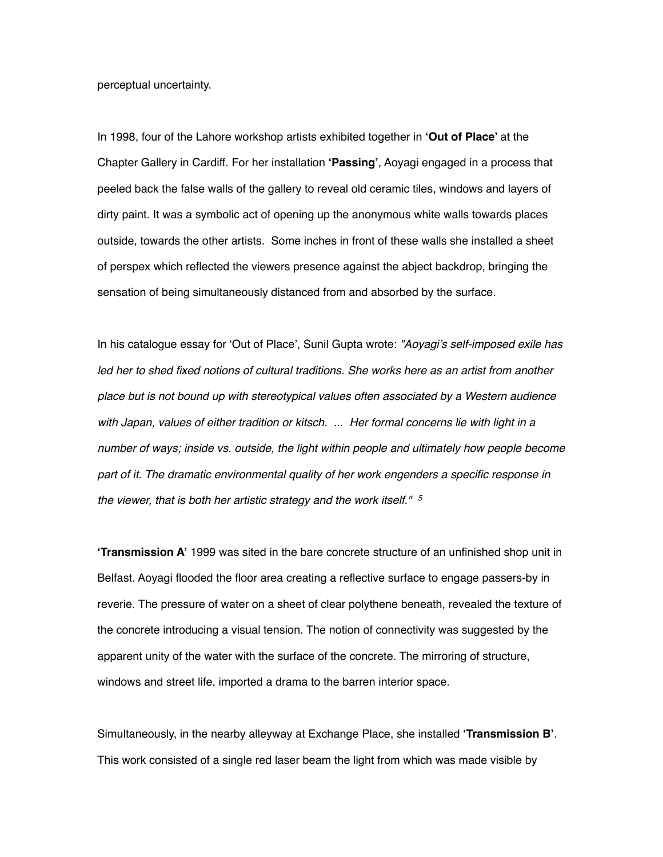perceptual uncertainty.

In 1998, four of the Lahore workshop artists exhibited together in **'Out of Place'** at the Chapter Gallery in Cardiff. For her installation **'Passing'**, Aoyagi engaged in a process that peeled back the false walls of the gallery to reveal old ceramic tiles, windows and layers of dirty paint. It was a symbolic act of opening up the anonymous white walls towards places outside, towards the other artists. Some inches in front of these walls she installed a sheet of perspex which reflected the viewers presence against the abject backdrop, bringing the sensation of being simultaneously distanced from and absorbed by the surface.

In his catalogue essay for 'Out of Place', Sunil Gupta wrote: *"Aoyagi's self-imposed exile has led her to shed fixed notions of cultural traditions. She works here as an artist from another place but is not bound up with stereotypical values often associated by a Western audience with Japan, values of either tradition or kitsch. ... Her formal concerns lie with light in a number of ways; inside vs. outside, the light within people and ultimately how people become part of it. The dramatic environmental quality of her work engenders a specific response in the viewer, that is both her artistic strategy and the work itself." [5](#page-9-4)*

<span id="page-5-0"></span>**'Transmission A'** 1999 was sited in the bare concrete structure of an unfinished shop unit in Belfast. Aoyagi flooded the floor area creating a reflective surface to engage passers-by in reverie. The pressure of water on a sheet of clear polythene beneath, revealed the texture of the concrete introducing a visual tension. The notion of connectivity was suggested by the apparent unity of the water with the surface of the concrete. The mirroring of structure, windows and street life, imported a drama to the barren interior space.

Simultaneously, in the nearby alleyway at Exchange Place, she installed **'Transmission B'**. This work consisted of a single red laser beam the light from which was made visible by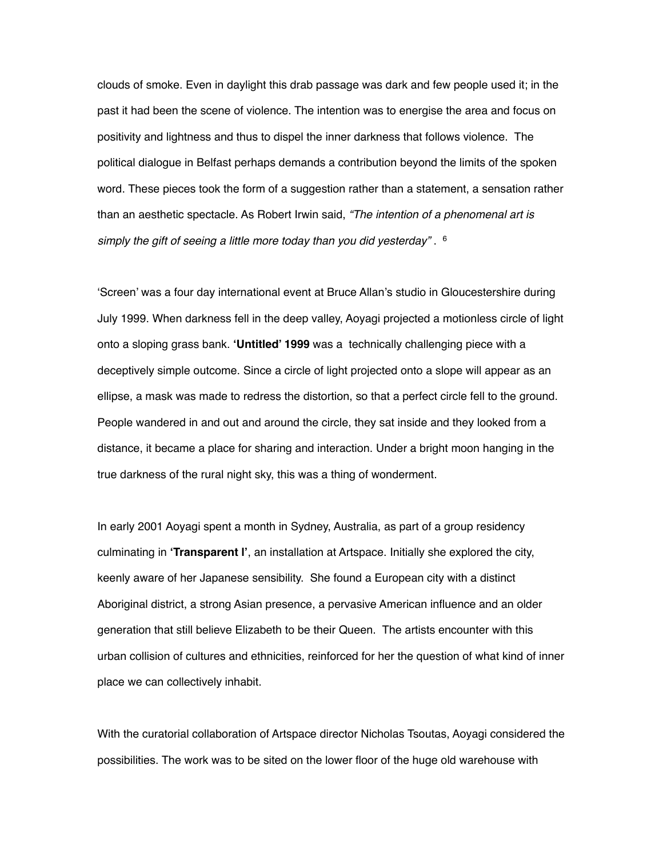clouds of smoke. Even in daylight this drab passage was dark and few people used it; in the past it had been the scene of violence. The intention was to energise the area and focus on positivity and lightness and thus to dispel the inner darkness that follows violence. The political dialogue in Belfast perhaps demands a contribution beyond the limits of the spoken word. These pieces took the form of a suggestion rather than a statement, a sensation rather than an aesthetic spectacle. As Robert Irwin said, *"The intention of a phenomenal art is simply the gift of seeing a little more today than you did yesterday"* . [6](#page-9-5)

<span id="page-6-0"></span>'Screen' was a four day international event at Bruce Allan's studio in Gloucestershire during July 1999. When darkness fell in the deep valley, Aoyagi projected a motionless circle of light onto a sloping grass bank. **'Untitled' 1999** was a technically challenging piece with a deceptively simple outcome. Since a circle of light projected onto a slope will appear as an ellipse, a mask was made to redress the distortion, so that a perfect circle fell to the ground. People wandered in and out and around the circle, they sat inside and they looked from a distance, it became a place for sharing and interaction. Under a bright moon hanging in the true darkness of the rural night sky, this was a thing of wonderment.

In early 2001 Aoyagi spent a month in Sydney, Australia, as part of a group residency culminating in **'Transparent l'**, an installation at Artspace. Initially she explored the city, keenly aware of her Japanese sensibility. She found a European city with a distinct Aboriginal district, a strong Asian presence, a pervasive American influence and an older generation that still believe Elizabeth to be their Queen. The artists encounter with this urban collision of cultures and ethnicities, reinforced for her the question of what kind of inner place we can collectively inhabit.

With the curatorial collaboration of Artspace director Nicholas Tsoutas, Aoyagi considered the possibilities. The work was to be sited on the lower floor of the huge old warehouse with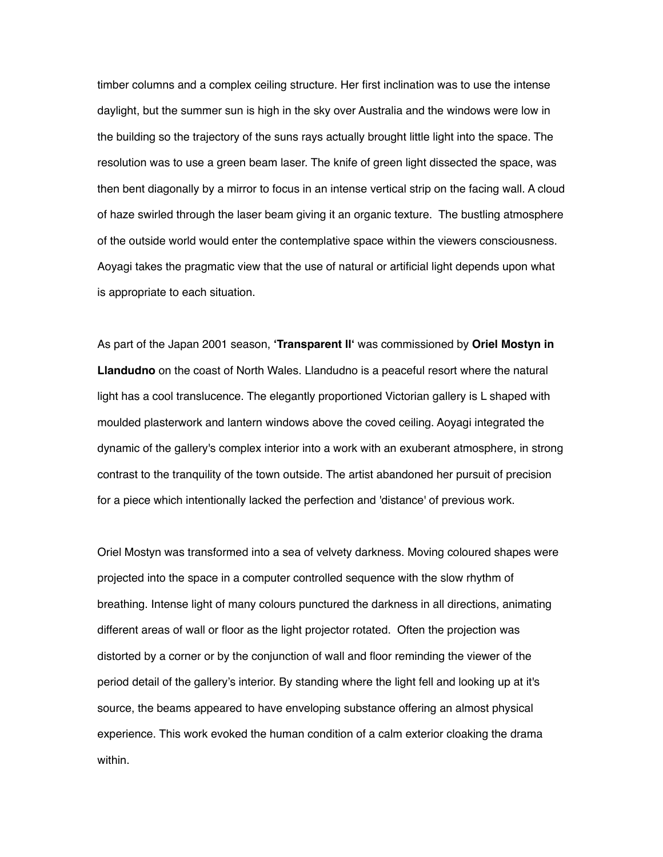timber columns and a complex ceiling structure. Her first inclination was to use the intense daylight, but the summer sun is high in the sky over Australia and the windows were low in the building so the trajectory of the suns rays actually brought little light into the space. The resolution was to use a green beam laser. The knife of green light dissected the space, was then bent diagonally by a mirror to focus in an intense vertical strip on the facing wall. A cloud of haze swirled through the laser beam giving it an organic texture. The bustling atmosphere of the outside world would enter the contemplative space within the viewers consciousness. Aoyagi takes the pragmatic view that the use of natural or artificial light depends upon what is appropriate to each situation.

As part of the Japan 2001 season, **'Transparent ll'** was commissioned by **Oriel Mostyn in Llandudno** on the coast of North Wales. Llandudno is a peaceful resort where the natural light has a cool translucence. The elegantly proportioned Victorian gallery is L shaped with moulded plasterwork and lantern windows above the coved ceiling. Aoyagi integrated the dynamic of the gallery's complex interior into a work with an exuberant atmosphere, in strong contrast to the tranquility of the town outside. The artist abandoned her pursuit of precision for a piece which intentionally lacked the perfection and 'distance' of previous work.

Oriel Mostyn was transformed into a sea of velvety darkness. Moving coloured shapes were projected into the space in a computer controlled sequence with the slow rhythm of breathing. Intense light of many colours punctured the darkness in all directions, animating different areas of wall or floor as the light projector rotated. Often the projection was distorted by a corner or by the conjunction of wall and floor reminding the viewer of the period detail of the gallery's interior. By standing where the light fell and looking up at it's source, the beams appeared to have enveloping substance offering an almost physical experience. This work evoked the human condition of a calm exterior cloaking the drama within.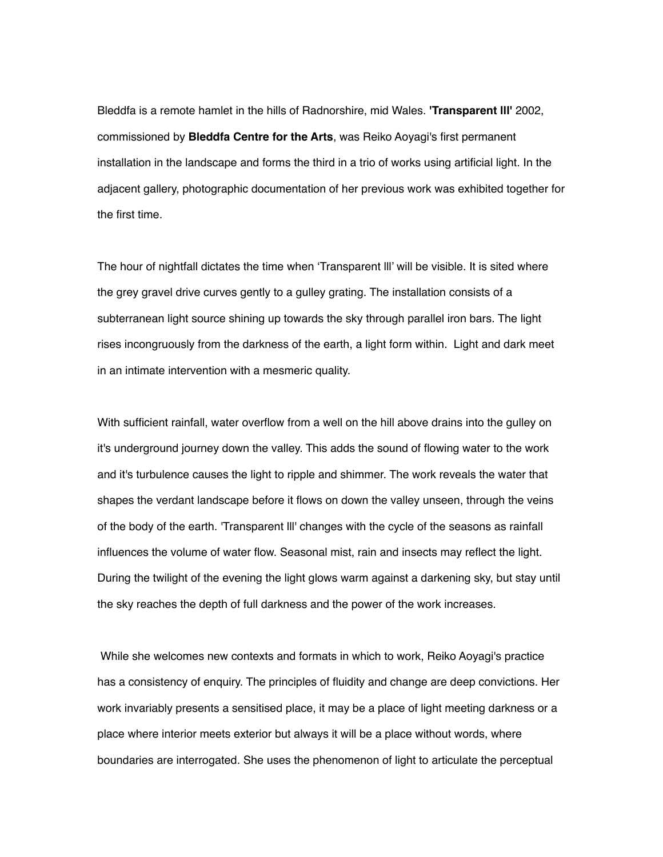Bleddfa is a remote hamlet in the hills of Radnorshire, mid Wales. **'Transparent lll'** 2002, commissioned by **Bleddfa Centre for the Arts**, was Reiko Aoyagi's first permanent installation in the landscape and forms the third in a trio of works using artificial light. In the adjacent gallery, photographic documentation of her previous work was exhibited together for the first time.

The hour of nightfall dictates the time when 'Transparent lll' will be visible. It is sited where the grey gravel drive curves gently to a gulley grating. The installation consists of a subterranean light source shining up towards the sky through parallel iron bars. The light rises incongruously from the darkness of the earth, a light form within. Light and dark meet in an intimate intervention with a mesmeric quality.

With sufficient rainfall, water overflow from a well on the hill above drains into the gulley on it's underground journey down the valley. This adds the sound of flowing water to the work and it's turbulence causes the light to ripple and shimmer. The work reveals the water that shapes the verdant landscape before it flows on down the valley unseen, through the veins of the body of the earth. 'Transparent lll' changes with the cycle of the seasons as rainfall influences the volume of water flow. Seasonal mist, rain and insects may reflect the light. During the twilight of the evening the light glows warm against a darkening sky, but stay until the sky reaches the depth of full darkness and the power of the work increases.

 While she welcomes new contexts and formats in which to work, Reiko Aoyagi's practice has a consistency of enquiry. The principles of fluidity and change are deep convictions. Her work invariably presents a sensitised place, it may be a place of light meeting darkness or a place where interior meets exterior but always it will be a place without words, where boundaries are interrogated. She uses the phenomenon of light to articulate the perceptual